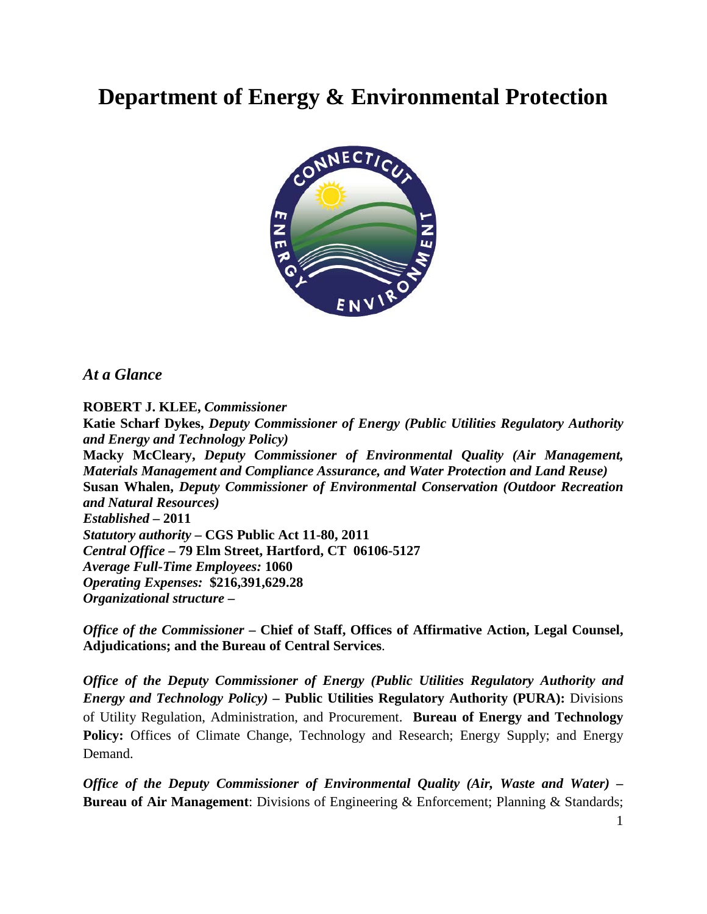# **Department of Energy & Environmental Protection**



*At a Glance*

**ROBERT J. KLEE,** *Commissioner* **Katie Scharf Dykes,** *Deputy Commissioner of Energy (Public Utilities Regulatory Authority and Energy and Technology Policy)* **Macky McCleary,** *Deputy Commissioner of Environmental Quality (Air Management, Materials Management and Compliance Assurance, and Water Protection and Land Reuse)* **Susan Whalen,** *Deputy Commissioner of Environmental Conservation (Outdoor Recreation and Natural Resources) Established* **– 2011** *Statutory authority* **– CGS Public Act 11-80, 2011** *Central Office* **– 79 Elm Street, Hartford, CT 06106-5127** *Average Full-Time Employees:* **1060** *Operating Expenses:* **\$216,391,629.28** *Organizational structure* **–**

*Office of the Commissioner* **– Chief of Staff, Offices of Affirmative Action, Legal Counsel, Adjudications; and the Bureau of Central Services**.

*Office of the Deputy Commissioner of Energy (Public Utilities Regulatory Authority and Energy and Technology Policy) –* **Public Utilities Regulatory Authority (PURA):** Divisions of Utility Regulation, Administration, and Procurement. **Bureau of Energy and Technology**  Policy: Offices of Climate Change, Technology and Research; Energy Supply; and Energy Demand.

*Office of the Deputy Commissioner of Environmental Quality (Air, Waste and Water) –* **Bureau of Air Management**: Divisions of Engineering & Enforcement; Planning & Standards;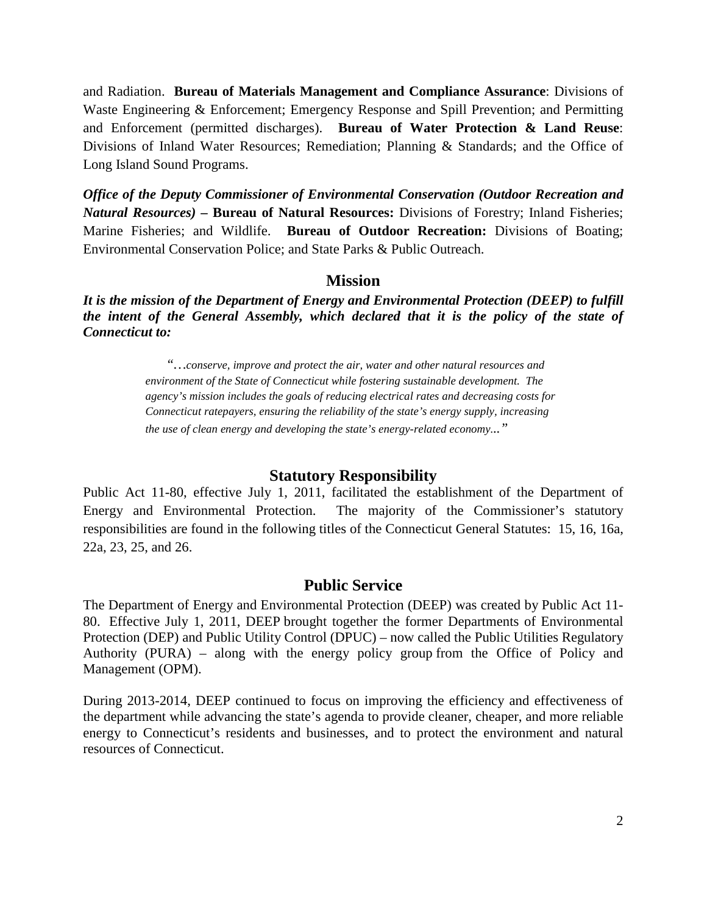and Radiation. **Bureau of Materials Management and Compliance Assurance**: Divisions of Waste Engineering & Enforcement; Emergency Response and Spill Prevention; and Permitting and Enforcement (permitted discharges). **Bureau of Water Protection & Land Reuse**: Divisions of Inland Water Resources; Remediation; Planning & Standards; and the Office of Long Island Sound Programs.

*Office of the Deputy Commissioner of Environmental Conservation (Outdoor Recreation and Natural Resources) –* **Bureau of Natural Resources:** Divisions of Forestry; Inland Fisheries; Marine Fisheries; and Wildlife. **Bureau of Outdoor Recreation:** Divisions of Boating; Environmental Conservation Police; and State Parks & Public Outreach.

#### **Mission**

*It is the mission of the Department of Energy and Environmental Protection (DEEP) to fulfill the intent of the General Assembly, which declared that it is the policy of the state of Connecticut to:*

> *"…conserve, improve and protect the air, water and other natural resources and environment of the State of Connecticut while fostering sustainable development. The agency's mission includes the goals of reducing electrical rates and decreasing costs for Connecticut ratepayers, ensuring the reliability of the state's energy supply, increasing the use of clean energy and developing the state's energy-related economy..."*

#### **Statutory Responsibility**

Public Act 11-80, effective July 1, 2011, facilitated the establishment of the Department of Energy and Environmental Protection. The majority of the Commissioner's statutory responsibilities are found in the following titles of the Connecticut General Statutes: 15, 16, 16a, 22a, 23, 25, and 26.

#### **Public Service**

The Department of Energy and Environmental Protection (DEEP) was created by Public Act 11- 80. Effective July 1, 2011, DEEP brought together the former Departments of Environmental Protection (DEP) and Public Utility Control (DPUC) – now called the Public Utilities Regulatory Authority (PURA) – along with the energy policy group from the Office of Policy and Management (OPM).

During 2013-2014, DEEP continued to focus on improving the efficiency and effectiveness of the department while advancing the state's agenda to provide cleaner, cheaper, and more reliable energy to Connecticut's residents and businesses, and to protect the environment and natural resources of Connecticut.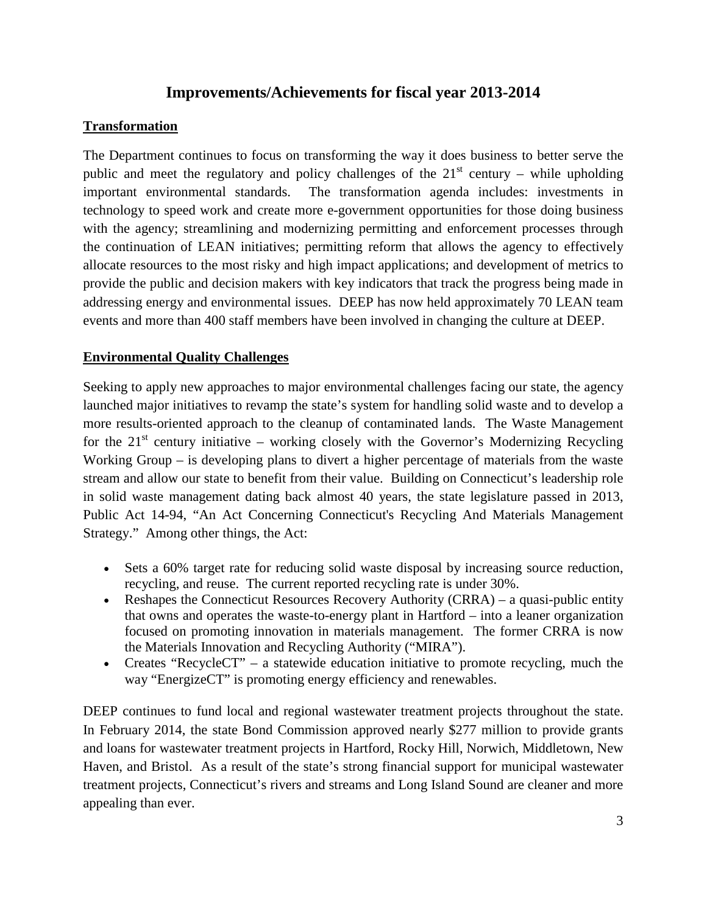## **Improvements/Achievements for fiscal year 2013-2014**

### **Transformation**

The Department continues to focus on transforming the way it does business to better serve the public and meet the regulatory and policy challenges of the  $21<sup>st</sup>$  century – while upholding important environmental standards. The transformation agenda includes: investments in technology to speed work and create more e-government opportunities for those doing business with the agency; streamlining and modernizing permitting and enforcement processes through the continuation of LEAN initiatives; permitting reform that allows the agency to effectively allocate resources to the most risky and high impact applications; and development of metrics to provide the public and decision makers with key indicators that track the progress being made in addressing energy and environmental issues. DEEP has now held approximately 70 LEAN team events and more than 400 staff members have been involved in changing the culture at DEEP.

#### **Environmental Quality Challenges**

Seeking to apply new approaches to major environmental challenges facing our state, the agency launched major initiatives to revamp the state's system for handling solid waste and to develop a more results-oriented approach to the cleanup of contaminated lands. The Waste Management for the  $21<sup>st</sup>$  century initiative – working closely with the Governor's Modernizing Recycling Working Group – is developing plans to divert a higher percentage of materials from the waste stream and allow our state to benefit from their value. Building on Connecticut's leadership role in solid waste management dating back almost 40 years, the state legislature passed in 2013, Public Act 14-94, "An Act Concerning Connecticut's Recycling And Materials Management Strategy." Among other things, the Act:

- Sets a 60% target rate for reducing solid waste disposal by increasing source reduction, recycling, and reuse. The current reported recycling rate is under 30%.
- Reshapes the Connecticut Resources Recovery Authority (CRRA) a quasi-public entity that owns and operates the waste-to-energy plant in Hartford – into a leaner organization focused on promoting innovation in materials management. The former CRRA is now the Materials Innovation and Recycling Authority ("MIRA").
- Creates "RecycleCT" a statewide education initiative to promote recycling, much the way "EnergizeCT" is promoting energy efficiency and renewables.

DEEP continues to fund local and regional wastewater treatment projects throughout the state. In February 2014, the state Bond Commission approved nearly \$277 million to provide grants and loans for wastewater treatment projects in Hartford, Rocky Hill, Norwich, Middletown, New Haven, and Bristol. As a result of the state's strong financial support for municipal wastewater treatment projects, Connecticut's rivers and streams and Long Island Sound are cleaner and more appealing than ever.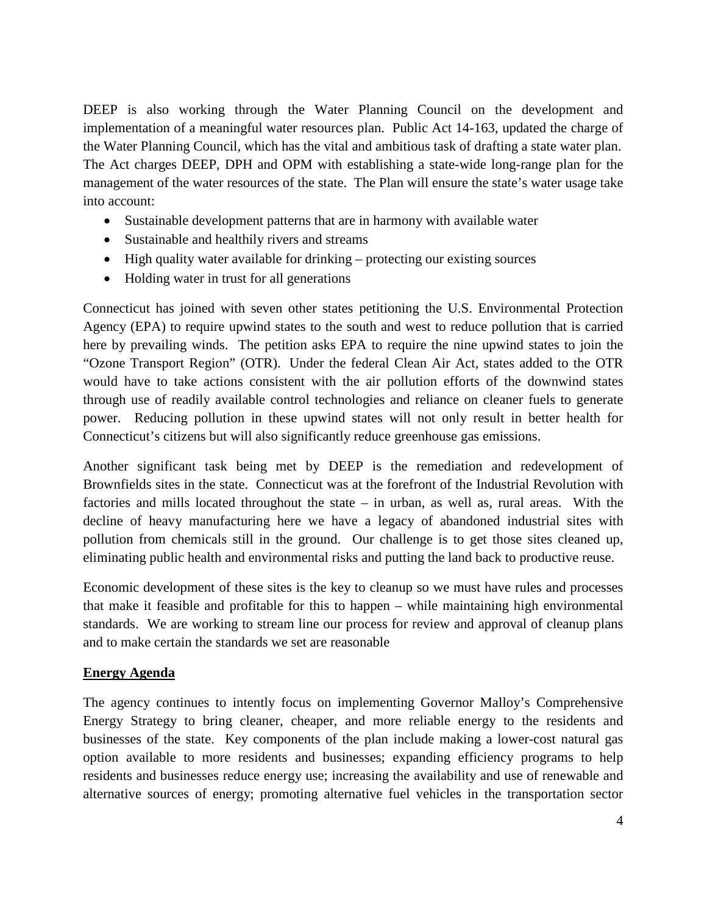DEEP is also working through the Water Planning Council on the development and implementation of a meaningful water resources plan. Public Act 14-163, updated the charge of the Water Planning Council, which has the vital and ambitious task of drafting a state water plan. The Act charges DEEP, DPH and OPM with establishing a state-wide long-range plan for the management of the water resources of the state. The Plan will ensure the state's water usage take into account:

- Sustainable development patterns that are in harmony with available water
- Sustainable and healthily rivers and streams
- High quality water available for drinking protecting our existing sources
- Holding water in trust for all generations

Connecticut has joined with seven other states petitioning the U.S. Environmental Protection Agency (EPA) to require upwind states to the south and west to reduce pollution that is carried here by prevailing winds. The petition asks EPA to require the nine upwind states to join the "Ozone Transport Region" (OTR). Under the federal Clean Air Act, states added to the OTR would have to take actions consistent with the air pollution efforts of the downwind states through use of readily available control technologies and reliance on cleaner fuels to generate power. Reducing pollution in these upwind states will not only result in better health for Connecticut's citizens but will also significantly reduce greenhouse gas emissions.

Another significant task being met by DEEP is the remediation and redevelopment of Brownfields sites in the state. Connecticut was at the forefront of the Industrial Revolution with factories and mills located throughout the state – in urban, as well as, rural areas. With the decline of heavy manufacturing here we have a legacy of abandoned industrial sites with pollution from chemicals still in the ground. Our challenge is to get those sites cleaned up, eliminating public health and environmental risks and putting the land back to productive reuse.

Economic development of these sites is the key to cleanup so we must have rules and processes that make it feasible and profitable for this to happen – while maintaining high environmental standards. We are working to stream line our process for review and approval of cleanup plans and to make certain the standards we set are reasonable

#### **Energy Agenda**

The agency continues to intently focus on implementing Governor Malloy's Comprehensive Energy Strategy to bring cleaner, cheaper, and more reliable energy to the residents and businesses of the state. Key components of the plan include making a lower-cost natural gas option available to more residents and businesses; expanding efficiency programs to help residents and businesses reduce energy use; increasing the availability and use of renewable and alternative sources of energy; promoting alternative fuel vehicles in the transportation sector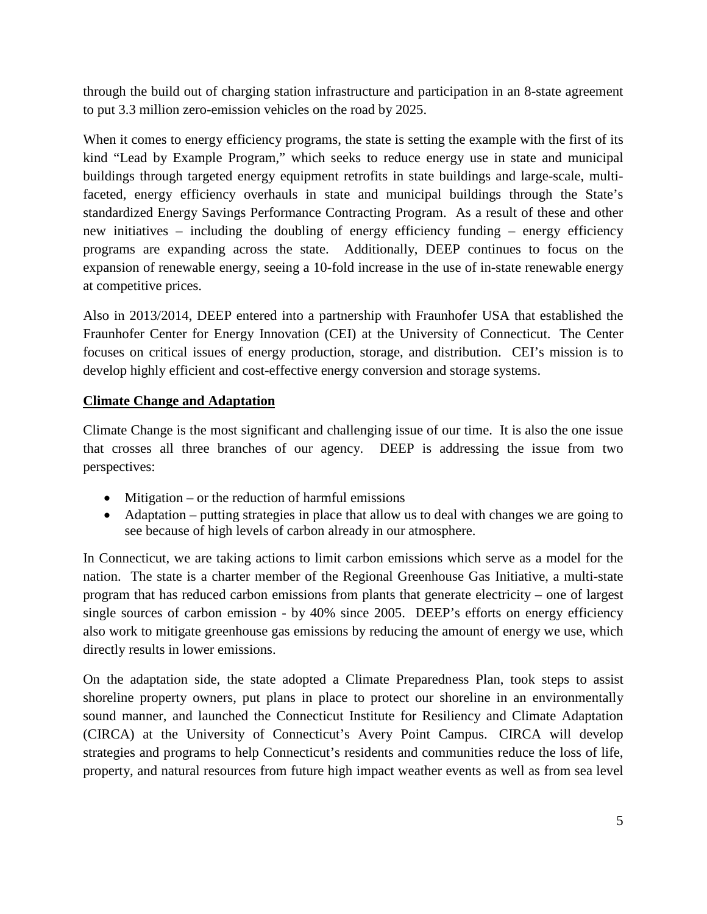through the build out of charging station infrastructure and participation in an 8-state agreement to put 3.3 million zero-emission vehicles on the road by 2025.

When it comes to energy efficiency programs, the state is setting the example with the first of its kind "Lead by Example Program," which seeks to reduce energy use in state and municipal buildings through targeted energy equipment retrofits in state buildings and large-scale, multifaceted, energy efficiency overhauls in state and municipal buildings through the State's standardized Energy Savings Performance Contracting Program. As a result of these and other new initiatives – including the doubling of energy efficiency funding – energy efficiency programs are expanding across the state. Additionally, DEEP continues to focus on the expansion of renewable energy, seeing a 10-fold increase in the use of in-state renewable energy at competitive prices.

Also in 2013/2014, DEEP entered into a partnership with Fraunhofer USA that established the Fraunhofer Center for Energy Innovation (CEI) at the University of Connecticut. The Center focuses on critical issues of energy production, storage, and distribution. CEI's mission is to develop highly efficient and cost-effective energy conversion and storage systems.

#### **Climate Change and Adaptation**

Climate Change is the most significant and challenging issue of our time. It is also the one issue that crosses all three branches of our agency. DEEP is addressing the issue from two perspectives:

- Mitigation or the reduction of harmful emissions
- Adaptation putting strategies in place that allow us to deal with changes we are going to see because of high levels of carbon already in our atmosphere.

In Connecticut, we are taking actions to limit carbon emissions which serve as a model for the nation. The state is a charter member of the Regional Greenhouse Gas Initiative, a multi-state program that has reduced carbon emissions from plants that generate electricity – one of largest single sources of carbon emission - by 40% since 2005. DEEP's efforts on energy efficiency also work to mitigate greenhouse gas emissions by reducing the amount of energy we use, which directly results in lower emissions.

On the adaptation side, the state adopted a [Climate Preparedness Plan,](http://www.ct.gov/deep/cwp/view.asp?a=4423&Q=528012&deepNav_GID=2121) took steps to assist shoreline property owners, put plans in place to protect our shoreline in an environmentally sound manner, and launched the Connecticut Institute for Resiliency and Climate Adaptation (CIRCA) at the University of Connecticut's Avery Point Campus. CIRCA will develop strategies and programs to help Connecticut's residents and communities reduce the loss of life, property, and natural resources from future high impact weather events as well as from sea level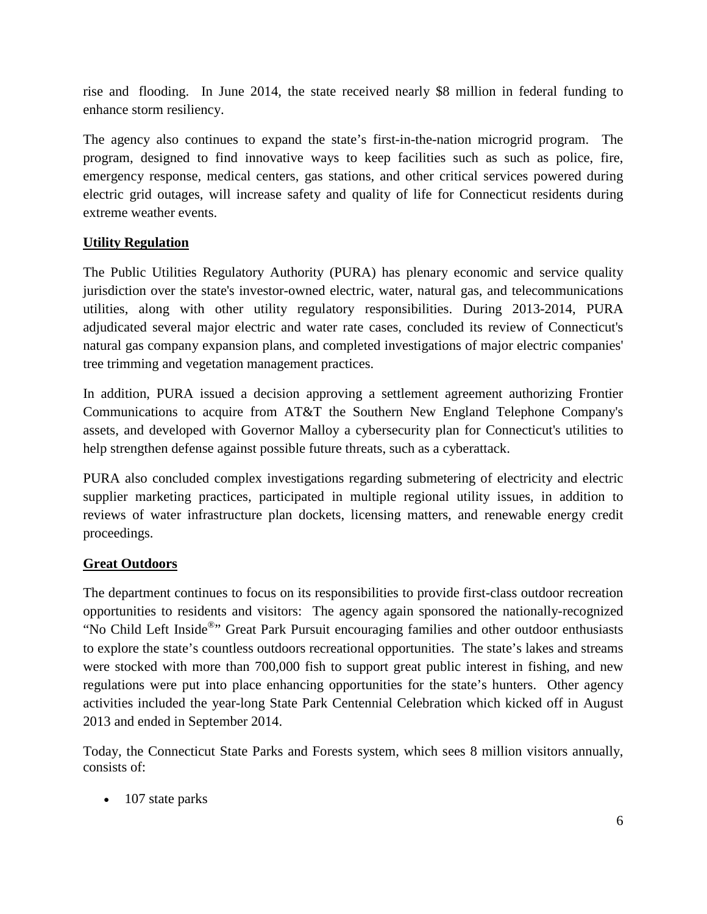rise and flooding. In June 2014, the state received nearly \$8 million in federal funding to enhance storm resiliency.

The agency also continues to expand the state's first-in-the-nation microgrid program. The program, designed to find innovative ways to keep facilities such as such as police, fire, emergency response, medical centers, gas stations, and other critical services powered during electric grid outages, will increase safety and quality of life for Connecticut residents during extreme weather events.

## **Utility Regulation**

The Public Utilities Regulatory Authority (PURA) has plenary economic and service quality jurisdiction over the state's investor-owned electric, water, natural gas, and telecommunications utilities, along with other utility regulatory responsibilities. During 2013-2014, PURA adjudicated several major electric and water rate cases, concluded its review of Connecticut's natural gas company expansion plans, and completed investigations of major electric companies' tree trimming and vegetation management practices.

In addition, PURA issued a decision approving a settlement agreement authorizing Frontier Communications to acquire from AT&T the Southern New England Telephone Company's assets, and developed with Governor Malloy a cybersecurity plan for Connecticut's utilities to help strengthen defense against possible future threats, such as a cyberattack.

PURA also concluded complex investigations regarding submetering of electricity and electric supplier marketing practices, participated in multiple regional utility issues, in addition to reviews of water infrastructure plan dockets, licensing matters, and renewable energy credit proceedings.

## **Great Outdoors**

The department continues to focus on its responsibilities to provide first-class outdoor recreation opportunities to residents and visitors: The agency again sponsored the nationally-recognized "No Child Left Inside®" Great Park Pursuit encouraging families and other outdoor enthusiasts to explore the state's countless outdoors recreational opportunities. The state's lakes and streams were stocked with more than 700,000 fish to support great public interest in fishing, and new regulations were put into place enhancing opportunities for the state's hunters. Other agency activities included the year-long State Park Centennial Celebration which kicked off in August 2013 and ended in September 2014.

Today, the Connecticut State Parks and Forests system, which sees 8 million visitors annually, consists of:

• 107 state parks